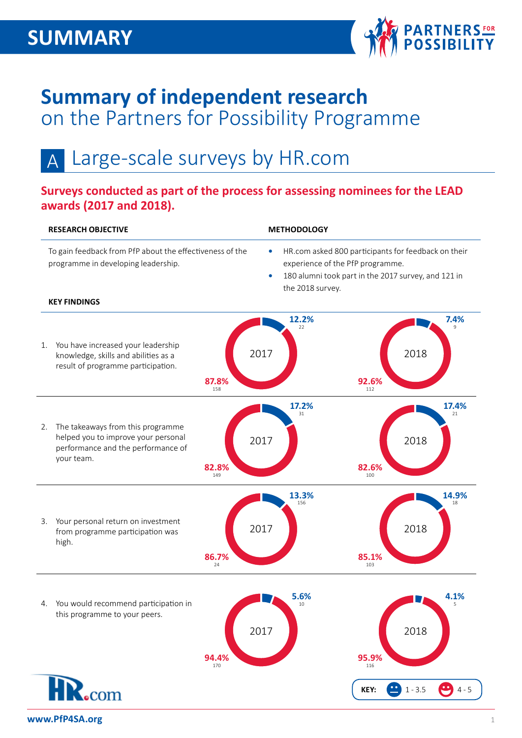

## **Summary of independent research**  on the Partners for Possibility Programme

### Large-scale surveys by HR.com A

## **Surveys conducted as part of the process for assessing nominees for the LEAD awards (2017 and 2018).**

#### **RESEARCH OBJECTIVE METHODOLOGY** To gain feedback from PfP about the effectiveness of the **•** HR.com asked 800 participants for feedback on their programme in developing leadership. experience of the PfP programme. **•** 180 alumni took part in the 2017 survey, and 121 in the 2018 survey. **KEY FINDINGS 12.2%** <sup>22</sup>  $7.4%$ 1. You have increased your leadership 2017 2018 knowledge, skills and abilities as a result of programme participation. **87.8% 92.6% 17.2% 17.4%** 2. The takeaways from this programme helped you to improve your personal 2017 2018 performance and the performance of your team. **82.8% 82.6% 13.3% 14.9%** <sup>18</sup> 3. Your personal return on investment 2017 2018 from programme participation was high. **86.7% 85.1%** <sup>103</sup>  $5.6%$  $4.1%$ 4. You would recommend participation in this programme to your peers. 2017 2018**95.9%** <sup>116</sup> **94.4%** <sup>170</sup> com **KEY:**  $\bullet$  1 - 3.5  $\bullet$  4 - 5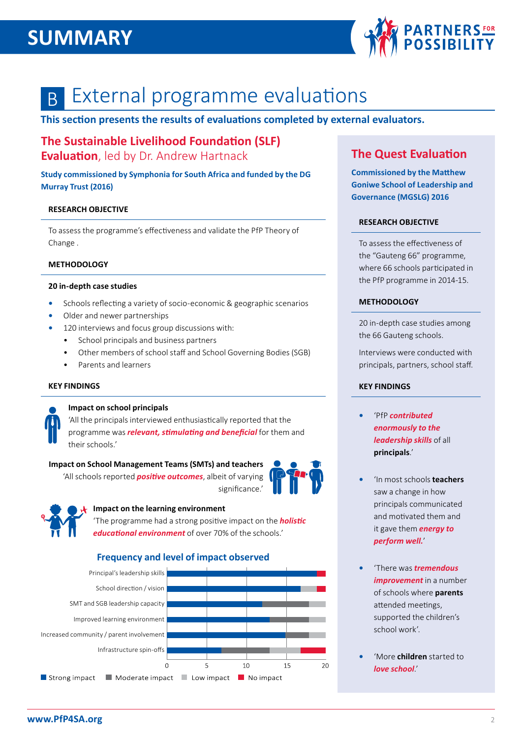## **SUMMARY**



### External programme evaluations B

**This section presents the results of evaluations completed by external evaluators.**

## **The Sustainable Livelihood Foundation (SLF) Evaluation**, led by Dr. Andrew Hartnack

**Study commissioned by Symphonia for South Africa and funded by the DG Murray Trust (2016)**

#### **RESEARCH OBJECTIVE**

To assess the programme's effectiveness and validate the PfP Theory of Change .

#### **METHODOLOGY**

#### **20 in-depth case studies**

- **•** Schools reflecting a variety of socio-economic & geographic scenarios
- **•** Older and newer partnerships
- **•** 120 interviews and focus group discussions with:
	- School principals and business partners
	- Other members of school staff and School Governing Bodies (SGB)
	- Parents and learners

#### **KEY FINDINGS**

#### **Impact on school principals**

'All the principals interviewed enthusiastically reported that the programme was *relevant, stimulating and beneficial* for them and their schools.'

#### **Impact on School Management Teams (SMTs) and teachers**

'All schools reported *positive outcomes*, albeit of varying significance.'





#### **Impact on the learning environment**

'The programme had a strong positive impact on the *holistic educational environment* of over 70% of the schools.'

## **Frequency and level of impact observed**



## **The Quest Evaluation**

**Commissioned by the Matthew Goniwe School of Leadership and Governance (MGSLG) 2016**

#### **RESEARCH OBJECTIVE**

To assess the effectiveness of the "Gauteng 66" programme, where 66 schools participated in the PfP programme in 2014-15.

#### **METHODOLOGY**

20 in-depth case studies among the 66 Gauteng schools.

Interviews were conducted with principals, partners, school staff.

#### **KEY FINDINGS**

- **•** 'PfP *contributed enormously to the leadership skills* of all **principals**.'
- **•** 'In most schools **teachers** saw a change in how principals communicated and motivated them and it gave them *energy to perform well.*'
- **•** 'There was *tremendous improvement* in a number of schools where **parents** attended meetings, supported the children's school work'.
- **•** 'More **children** started to *love school*.'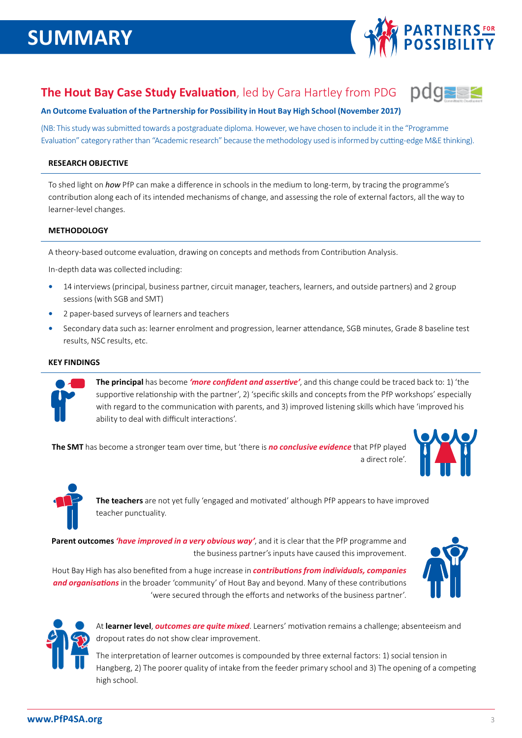

bd

## **The Hout Bay Case Study Evaluation**, led by Cara Hartley from PDG

#### **An Outcome Evaluation of the Partnership for Possibility in Hout Bay High School (November 2017)**

(NB: This study was submitted towards a postgraduate diploma. However, we have chosen to include it in the "Programme Evaluation" category rather than "Academic research" because the methodology used is informed by cutting-edge M&E thinking).

#### **RESEARCH OBJECTIVE**

To shed light on *how* PfP can make a difference in schools in the medium to long-term, by tracing the programme's contribution along each of its intended mechanisms of change, and assessing the role of external factors, all the way to learner-level changes.

#### **METHODOLOGY**

A theory-based outcome evaluation, drawing on concepts and methods from Contribution Analysis.

In-depth data was collected including:

- **•** 14 interviews (principal, business partner, circuit manager, teachers, learners, and outside partners) and 2 group sessions (with SGB and SMT)
- **•** 2 paper-based surveys of learners and teachers
- **•** Secondary data such as: learner enrolment and progression, learner attendance, SGB minutes, Grade 8 baseline test results, NSC results, etc.

#### **KEY FINDINGS**



**The principal** has become *'more confident and assertive'*, and this change could be traced back to: 1) 'the supportive relationship with the partner', 2) 'specific skills and concepts from the PfP workshops' especially with regard to the communication with parents, and 3) improved listening skills which have 'improved his ability to deal with difficult interactions'.

**The SMT** has become a stronger team over time, but 'there is *no conclusive evidence* that PfP played a direct role'



**The teachers** are not yet fully 'engaged and motivated' although PfP appears to have improved teacher punctuality.

**Parent outcomes** *'have improved in a very obvious way'*, and it is clear that the PfP programme and the business partner's inputs have caused this improvement.

Hout Bay High has also benefited from a huge increase in *contributions from individuals, companies and organisations* in the broader 'community' of Hout Bay and beyond. Many of these contributions 'were secured through the efforts and networks of the business partner'.





At **learner level**, *outcomes are quite mixed*. Learners' motivation remains a challenge; absenteeism and dropout rates do not show clear improvement.

The interpretation of learner outcomes is compounded by three external factors: 1) social tension in Hangberg, 2) The poorer quality of intake from the feeder primary school and 3) The opening of a competing high school.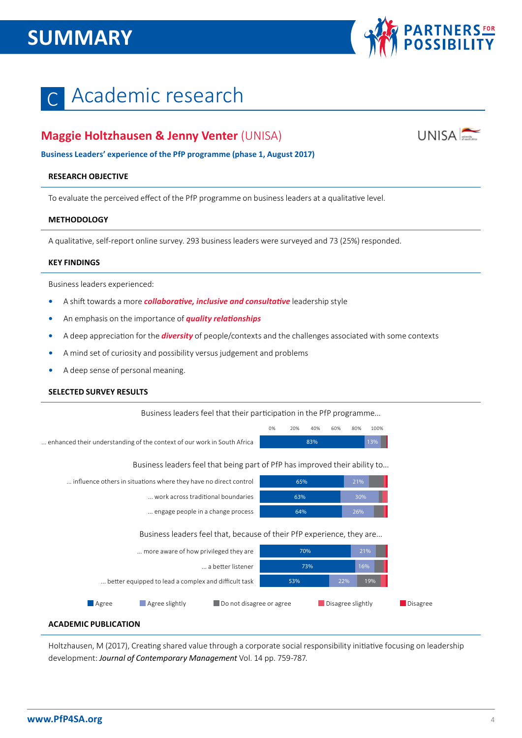# **SUMMARY**



# Academic research

## **Maggie Holtzhausen & Jenny Venter** (UNISA)



**Business Leaders' experience of the PfP programme (phase 1, August 2017)** 

#### **RESEARCH OBJECTIVE**

To evaluate the perceived effect of the PfP programme on business leaders at a qualitative level.

#### **METHODOLOGY**

A qualitative, self-report online survey. 293 business leaders were surveyed and 73 (25%) responded.

#### **KEY FINDINGS**

Business leaders experienced:

- **•** A shift towards a more *collaborative, inclusive and consultative* leadership style
- **•** An emphasis on the importance of *quality relationships*
- **•** A deep appreciation for the *diversity* of people/contexts and the challenges associated with some contexts
- **•** A mind set of curiosity and possibility versus judgement and problems
- **•** A deep sense of personal meaning.

#### **SELECTED SURVEY RESULTS**

Business leaders feel that their participation in the PfP programme...

... enhanced their understanding of the context of our work in South Africa

| 0% | 20% | 40% | 60% | 80% | 100%   |  |
|----|-----|-----|-----|-----|--------|--|
|    |     | 83% |     |     | $13\%$ |  |

Business leaders feel that being part of PfP has improved their ability to...

| influence others in situations where they have no direct control      | 65%        | 21%                                  |  |  |  |  |  |  |
|-----------------------------------------------------------------------|------------|--------------------------------------|--|--|--|--|--|--|
| work across traditional boundaries                                    | 63%        | 30%                                  |  |  |  |  |  |  |
| engage people in a change process                                     | 64%        | 26%                                  |  |  |  |  |  |  |
| Business leaders feel that, because of their PfP experience, they are |            |                                      |  |  |  |  |  |  |
| more aware of how privileged they are                                 | 70%        | 21%                                  |  |  |  |  |  |  |
| a better listener                                                     | 73%        | 16%                                  |  |  |  |  |  |  |
| better equipped to lead a complex and difficult task                  | 22%<br>53% | 19%                                  |  |  |  |  |  |  |
| Agree slightly<br>Do not disagree or agree<br>$\blacksquare$ Agree    |            | Disagree slightly<br><b>Disagree</b> |  |  |  |  |  |  |

#### **ACADEMIC PUBLICATION**

Holtzhausen, M (2017), Creating shared value through a corporate social responsibility initiative focusing on leadership development: *Journal of Contemporary Management* Vol. 14 pp. 759-787.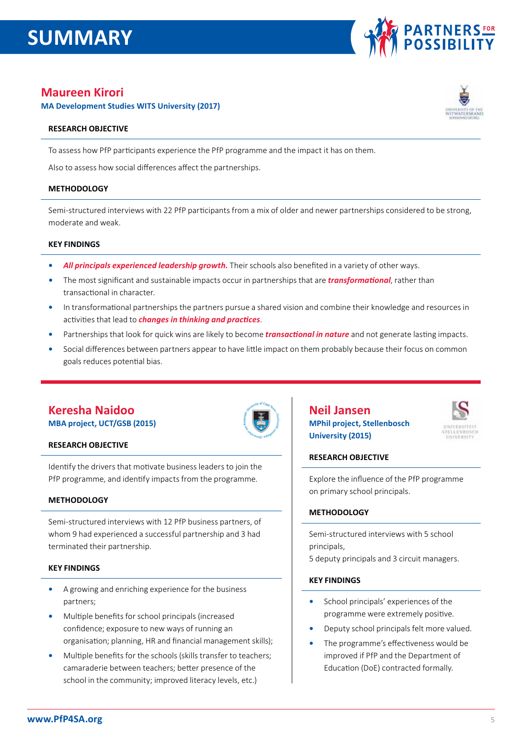## **SUMMARY**



## **Maureen Kirori**

**MA Development Studies WITS University (2017)** 

#### **RESEARCH OBJECTIVE**

To assess how PfP participants experience the PfP programme and the impact it has on them.

Also to assess how social differences affect the partnerships.

#### **METHODOLOGY**

Semi-structured interviews with 22 PfP participants from a mix of older and newer partnerships considered to be strong, moderate and weak.

#### **KEY FINDINGS**

- **•** *All principals experienced leadership growth.* Their schools also benefited in a variety of other ways.
- **•** The most significant and sustainable impacts occur in partnerships that are *transformational*, rather than transactional in character.
- **•** In transformational partnerships the partners pursue a shared vision and combine their knowledge and resources in activities that lead to *changes in thinking and practices*.
- **•** Partnerships that look for quick wins are likely to become *transactional in nature* and not generate lasting impacts.
- **•** Social differences between partners appear to have little impact on them probably because their focus on common goals reduces potential bias.

## **Keresha Naidoo**

**MBA project, UCT/GSB (2015)**



### **Neil Jansen MPhil project, Stellenbosch University (2015)**



#### **RESEARCH OBJECTIVE**

Explore the influence of the PfP programme on primary school principals.

#### **METHODOLOGY**

Semi-structured interviews with 5 school principals,

5 deputy principals and 3 circuit managers.

#### **KEY FINDINGS**

- **•** School principals' experiences of the programme were extremely positive.
- **•** Deputy school principals felt more valued.
- **•** The programme's effectiveness would be improved if PfP and the Department of Education (DoE) contracted formally.

### **RESEARCH OBJECTIVE**

Identify the drivers that motivate business leaders to join the PfP programme, and identify impacts from the programme.

#### **METHODOLOGY**

Semi-structured interviews with 12 PfP business partners, of whom 9 had experienced a successful partnership and 3 had terminated their partnership.

#### **KEY FINDINGS**

- **•** A growing and enriching experience for the business partners;
- **•** Multiple benefits for school principals (increased confidence; exposure to new ways of running an organisation; planning, HR and financial management skills);
- **•** Multiple benefits for the schools (skills transfer to teachers; camaraderie between teachers; better presence of the school in the community; improved literacy levels, etc.)